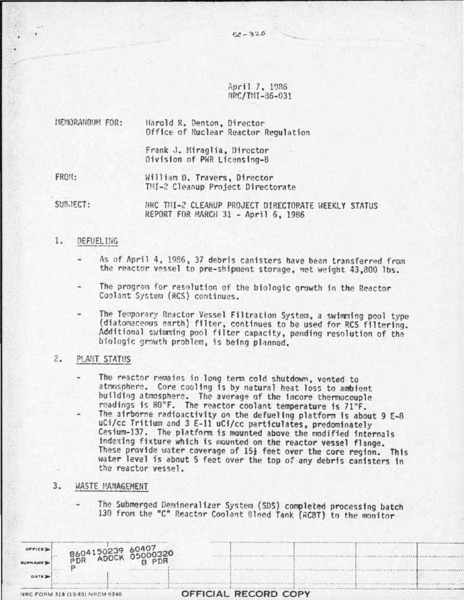April 7, 1986 NRC/TNI-86-031

| NEMORANDUM FOR: | Harold R. Denton, Director<br>Office of Nuclear Reactor Regulation |  |  |  |  |
|-----------------|--------------------------------------------------------------------|--|--|--|--|
|                 | Frank J. Miraglia, Director<br>Division of PWR Licensing-B         |  |  |  |  |
| FROM:           | William D. Travers, Director                                       |  |  |  |  |

SUBJECT: NRC THI-2 CLEANUP PROJECT DIRECTORATE WEEKLY STATUS REPORT FOR MARCH 31 - April 6, 1986

TMI-2 Cleanup Project Directorate

### 1. DEFUEL ING

- As of April 4, 1986, 37 debris canisters have been transferred from the reactor vessel to pre-shipment storage, net weight 43,800 lbs.
- The program for resolution of the biologic growth in the Reactor Coolant System (RCS) continues.
- The Temporary Reactor Vessel Filtration System, a swimming pool type (diatomaceous earth) filter, continues to be used for RCS filtering. Additional swimming pool filter capacity, pending resolution of the biologic growth problem, is being planned.

#### $2.$ PLANT STATUS

- The reactor remains in long term cold shutdown, vented to atmosphere. Core cooling is by natural heat loss to ambient building atmosphere. The average of the incore thermocouple readings is 80°F. The reactor coolant temperature is 71°F.
- The airborne radioactivity on the defueling platform is about  $9E-8$ uCi/cc Tritium and 3 E-11 uCi/cc particulates, predominately Cesium-137. The platform is mounted above the modified internals indexing fixture which is mounted on the reactor vessel flange. These provide water coverage of 15} feet over the core region. This water level is about 5 feet over the top of any debris canisters in the reactor vessel.

## WASTE MANAGEMENT 3.

The Submerged Demineralizer System (SDS) completed processing batch 130 from the "C" Reactor Coolant Bleed Tank (RCBT) to the monitor

|                | NRC FORM 318 (10-80) NRCM 0240         | OFFICIAL RECORD COPY |  |  |
|----------------|----------------------------------------|----------------------|--|--|
| DATE D         |                                        |                      |  |  |
| <b>SURNAME</b> |                                        |                      |  |  |
| OFFICE >       | B604150239 60407<br>PDR ADOCK 05000320 |                      |  |  |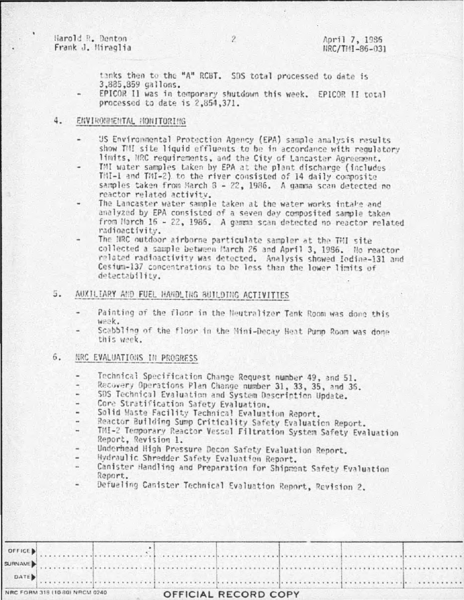Harold R. Denton Frank J. Miraglia

tanks then to the "A" RCBT. SDS total processed to date is 3,885,859 gallons.

EPICOR Il was in temporary shutdown this week. EPICOR II total processed to date is 2,854,371.

### 4. ENVIROBBENTAL HONITORING

- US Environmental Protection Agency (EPA) sample analysis results show TMI site liquid effluents to be in accordance with requlatory limits, NRC requirements, and the City of Lancaster Agreement.
- TMI water samples taken by EPA at the plant discharge (includes THI-1 and THI-2) to the river consisted of 14 daily composite samples taken from March 8 - 22, 1986. A gamma scan detected no reactor related activity.
- The Lancaster water sample taken at the water works intake and analyzed by EPA consisted of a seven day composited sample taken from March 16 - 22, 1986. A gamma scan detected no reactor related radioactivity.
- The NRC outdoor airborne particulate sampler at the THI site collected a sample between March 26 and April 3, 1986. No reactor related radioactivity was detected. Analysis showed Iodina-131 and Cesium-137 concentrations to be less than the lower limits of detectability.
- AUXILIARY AND FUEL HANDLING BUILDING ACTIVITIES 5.
	- Painting of the floor in the Neutralizer Tank Room was done this week.
	- Scabbling of the floor in the Mini-Decay Heat Pump Room was done this week.

# 6. NRC EVALUATIONS IN PROGRESS

- Technical Specification Change Request number 49, and 51.
- Recovery Operations Plan Change number 31, 33, 35, and 36.
- SDS Technical Evaluation and System Description Update.
- Core Stratification Safety Evaluation.
- Solid Maste Facility Technical Evaluation Report.
- Reactor Building Sump Criticality Safety Evaluation Report.
- TMI-2 Temporary Reactor Vessel Filtration System Safety Evaluation Report, Revision 1.
- Underhead High Pressure Decon Safety Evaluation Report.  $\rightarrow$
- Hydraulic Shredder Safety Evaluation Report.
- Canister Handling and Preparation for Shipment Safety Evaluation .. Report.
- Defueling Canister Technical Evaluation Report, Revision 2.

| NRC FORM 318 (10 80) NRCM 0240 |  | OFFICIAL RECORD COPY |          |  |  |
|--------------------------------|--|----------------------|----------|--|--|
|                                |  |                      |          |  |  |
|                                |  |                      | SURNAME) |  |  |
|                                |  |                      |          |  |  |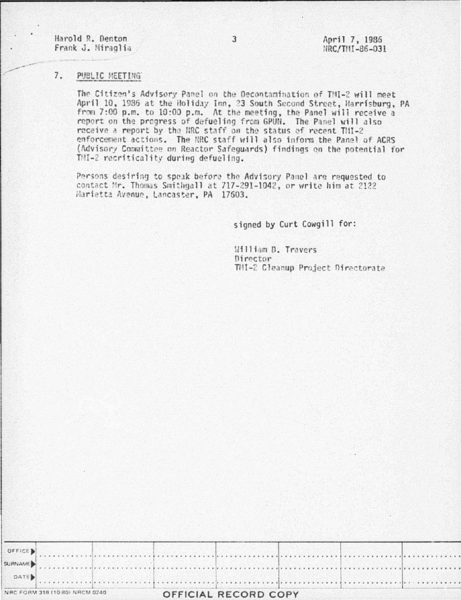Harold R. Denton Frank J. Miraglia

### $7.$ PUBLIC MEETING

The Citizen's Advisory Panel on the Decontamination of TMI-2 will meet April 10, 1986 at the Holiday Inn, 23 South Second Street, Harrisburg, PA from 7:00 p.m. to 10:00 p.m. At the meeting, the Panel will receive a report on the progress of defueling from GPUN. The Panel will also receive a report by the NRC staff on the status of recent TMI-2 enforcement actions. The NRC staff will also inform the Panel of ACRS (Advisory Committee on Reactor Safeguards) findings on the potential for TMI-2 recriticality during defueling.

Persons desiring to speak before the Advisory Panel are requested to contact Mr. Thomas Smithgall at 717-291-1042, or write him at 2122 Marietta Avenue, Lancaster, PA 17603.

signed by Curt Cowgill for:

William D. Travers Director THI-2 Cleanup Project Directorate

| NRC FORM 318 (10 80) NRCM 0240 |  | OFFICIAL RECORD COPY |  |  |  |
|--------------------------------|--|----------------------|--|--|--|
| $\sim$ DATE)                   |  |                      |  |  |  |
| SURNAME                        |  |                      |  |  |  |
|                                |  |                      |  |  |  |